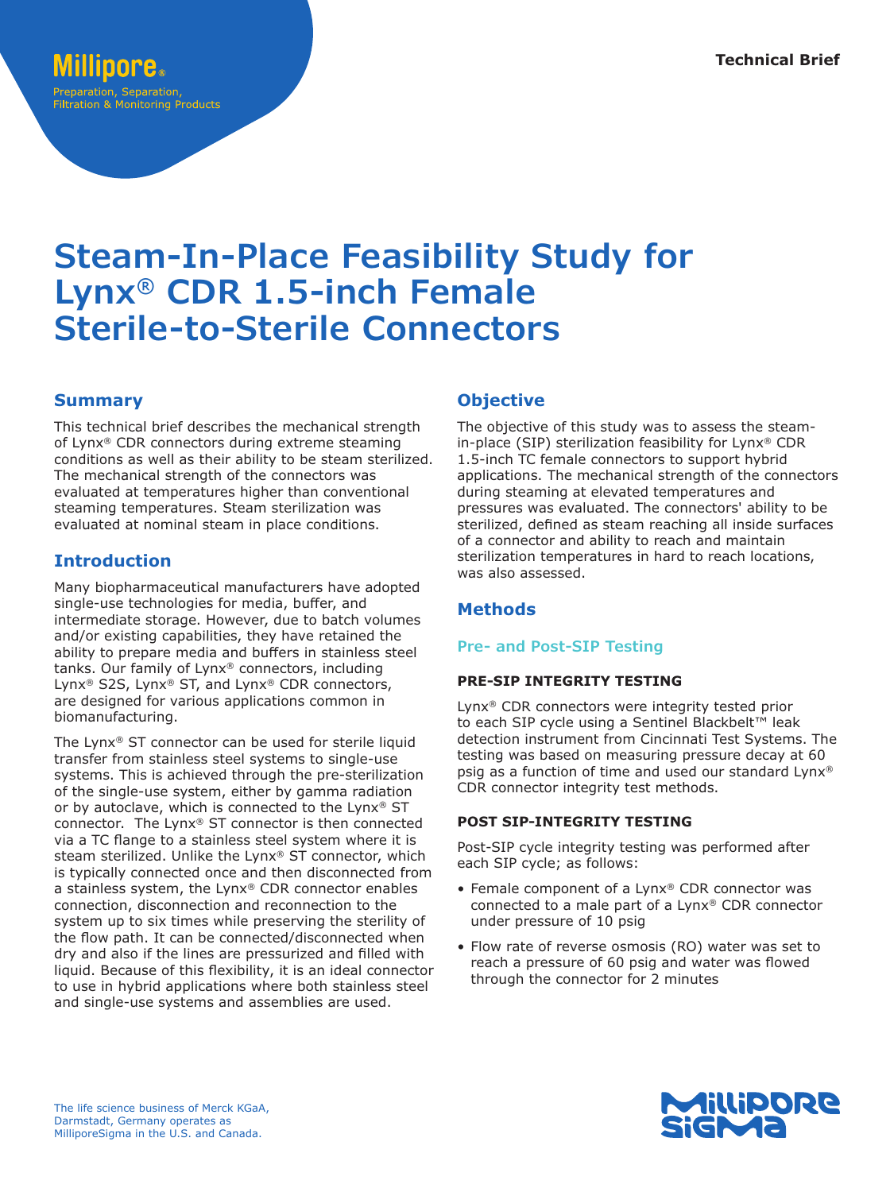### OOPe. Preparation, Separation, **Filtration & Monitoring Products**

# **Steam-In-Place Feasibility Study for Lynx® CDR 1.5-inch Female Sterile-to-Sterile Connectors**

## **Summary**

This technical brief describes the mechanical strength of Lynx® CDR connectors during extreme steaming conditions as well as their ability to be steam sterilized. The mechanical strength of the connectors was evaluated at temperatures higher than conventional steaming temperatures. Steam sterilization was evaluated at nominal steam in place conditions.

## **Introduction**

Many biopharmaceutical manufacturers have adopted single-use technologies for media, buffer, and intermediate storage. However, due to batch volumes and/or existing capabilities, they have retained the ability to prepare media and buffers in stainless steel tanks. Our family of Lynx® connectors, including Lynx® S2S, Lynx® ST, and Lynx® CDR connectors, are designed for various applications common in biomanufacturing.

The Lynx® ST connector can be used for sterile liquid transfer from stainless steel systems to single-use systems. This is achieved through the pre-sterilization of the single-use system, either by gamma radiation or by autoclave, which is connected to the Lynx® ST connector. The Lynx® ST connector is then connected via a TC flange to a stainless steel system where it is steam sterilized. Unlike the Lynx® ST connector, which is typically connected once and then disconnected from a stainless system, the Lynx® CDR connector enables connection, disconnection and reconnection to the system up to six times while preserving the sterility of the flow path. It can be connected/disconnected when dry and also if the lines are pressurized and filled with liquid. Because of this flexibility, it is an ideal connector to use in hybrid applications where both stainless steel and single-use systems and assemblies are used.

## **Objective**

The objective of this study was to assess the steamin-place (SIP) sterilization feasibility for Lynx® CDR 1.5-inch TC female connectors to support hybrid applications. The mechanical strength of the connectors during steaming at elevated temperatures and pressures was evaluated. The connectors' ability to be sterilized, defined as steam reaching all inside surfaces of a connector and ability to reach and maintain sterilization temperatures in hard to reach locations, was also assessed.

## **Methods**

#### **Pre- and Post-SIP Testing**

#### **PRE-SIP INTEGRITY TESTING**

Lynx® CDR connectors were integrity tested prior to each SIP cycle using a Sentinel Blackbelt™ leak detection instrument from Cincinnati Test Systems. The testing was based on measuring pressure decay at 60 psig as a function of time and used our standard Lynx® CDR connector integrity test methods.

#### **POST SIP-INTEGRITY TESTING**

Post-SIP cycle integrity testing was performed after each SIP cycle; as follows:

- Female component of a Lynx® CDR connector was connected to a male part of a Lynx® CDR connector under pressure of 10 psig
- Flow rate of reverse osmosis (RO) water was set to reach a pressure of 60 psig and water was flowed through the connector for 2 minutes

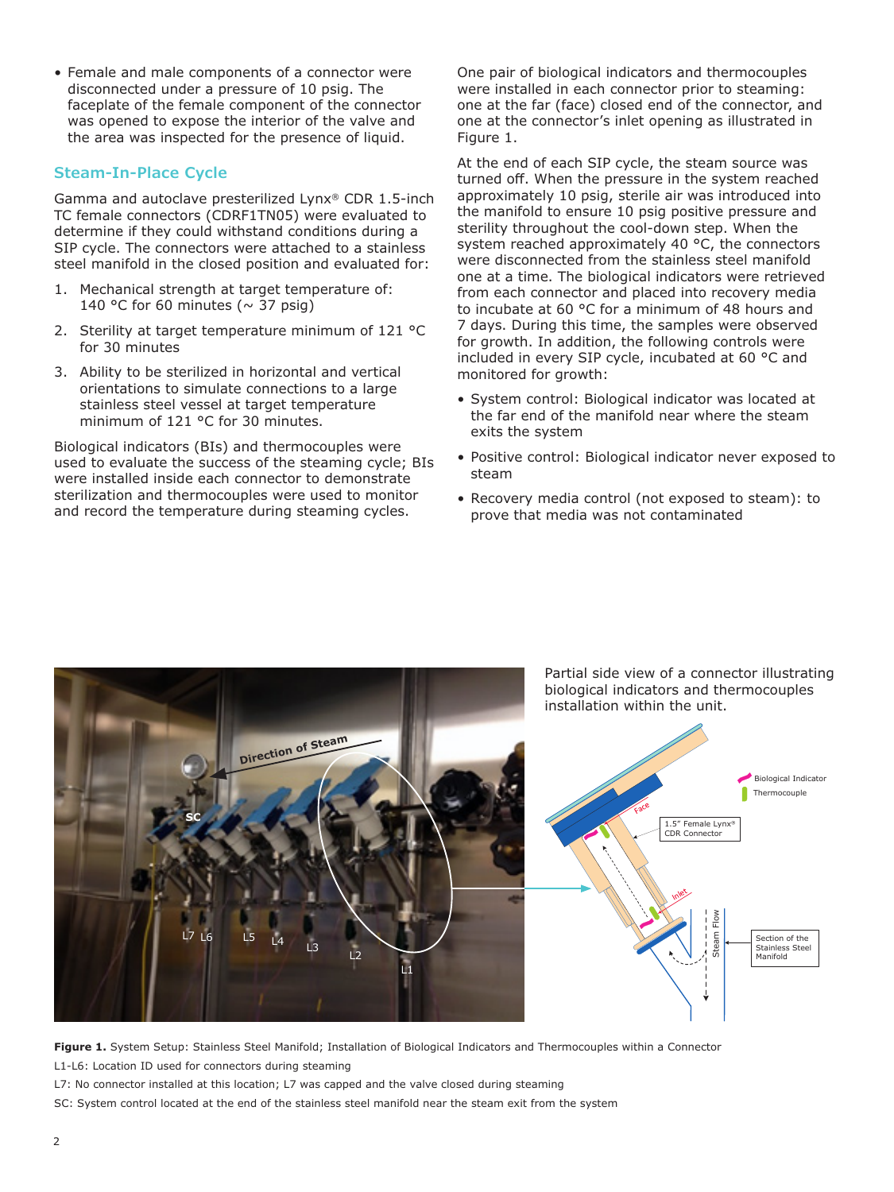• Female and male components of a connector were disconnected under a pressure of 10 psig. The faceplate of the female component of the connector was opened to expose the interior of the valve and the area was inspected for the presence of liquid.

#### **Steam-In-Place Cycle**

Gamma and autoclave presterilized Lynx® CDR 1.5-inch TC female connectors (CDRF1TN05) were evaluated to determine if they could withstand conditions during a SIP cycle. The connectors were attached to a stainless steel manifold in the closed position and evaluated for:

- 1. Mechanical strength at target temperature of: 140 °C for 60 minutes ( $\sim$  37 psig)
- 2. Sterility at target temperature minimum of 121 °C for 30 minutes
- 3. Ability to be sterilized in horizontal and vertical orientations to simulate connections to a large stainless steel vessel at target temperature minimum of 121 °C for 30 minutes.

Biological indicators (BIs) and thermocouples were used to evaluate the success of the steaming cycle; BIs were installed inside each connector to demonstrate sterilization and thermocouples were used to monitor and record the temperature during steaming cycles.

One pair of biological indicators and thermocouples were installed in each connector prior to steaming: one at the far (face) closed end of the connector, and one at the connector's inlet opening as illustrated in Figure 1.

At the end of each SIP cycle, the steam source was turned off. When the pressure in the system reached approximately 10 psig, sterile air was introduced into the manifold to ensure 10 psig positive pressure and sterility throughout the cool-down step. When the system reached approximately 40 °C, the connectors were disconnected from the stainless steel manifold one at a time. The biological indicators were retrieved from each connector and placed into recovery media to incubate at 60 °C for a minimum of 48 hours and 7 days. During this time, the samples were observed for growth. In addition, the following controls were included in every SIP cycle, incubated at 60 °C and monitored for growth:

- System control: Biological indicator was located at the far end of the manifold near where the steam exits the system
- Positive control: Biological indicator never exposed to steam
- Recovery media control (not exposed to steam): to prove that media was not contaminated



**Figure 1.** System Setup: Stainless Steel Manifold; Installation of Biological Indicators and Thermocouples within a Connector L1-L6: Location ID used for connectors during steaming

L7: No connector installed at this location; L7 was capped and the valve closed during steaming

SC: System control located at the end of the stainless steel manifold near the steam exit from the system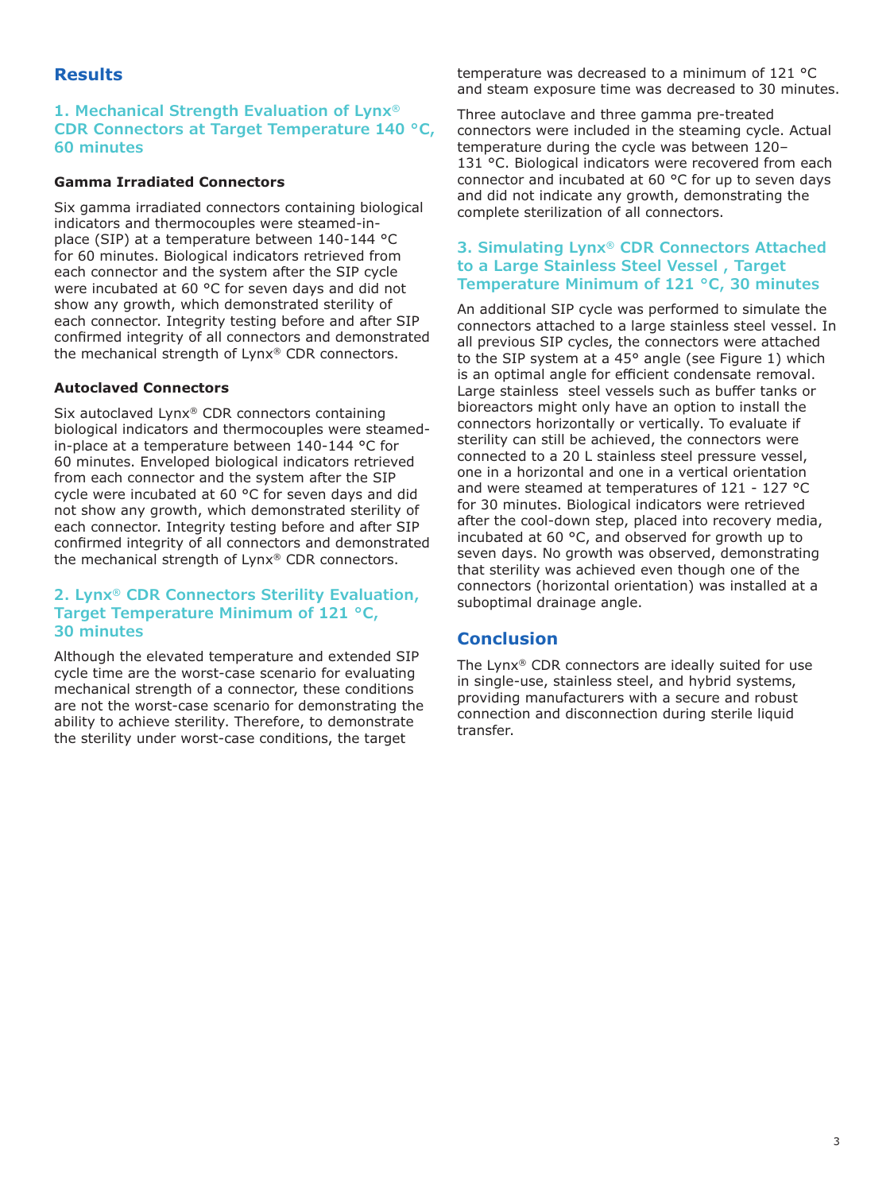## **Results**

#### **1. Mechanical Strength Evaluation of Lynx® CDR Connectors at Target Temperature 140 °C, 60 minutes**

#### **Gamma Irradiated Connectors**

Six gamma irradiated connectors containing biological indicators and thermocouples were steamed-inplace (SIP) at a temperature between 140-144 °C for 60 minutes. Biological indicators retrieved from each connector and the system after the SIP cycle were incubated at 60 °C for seven days and did not show any growth, which demonstrated sterility of each connector. Integrity testing before and after SIP confirmed integrity of all connectors and demonstrated the mechanical strength of Lynx® CDR connectors.

#### **Autoclaved Connectors**

Six autoclaved Lynx® CDR connectors containing biological indicators and thermocouples were steamedin-place at a temperature between 140-144 °C for 60 minutes. Enveloped biological indicators retrieved from each connector and the system after the SIP cycle were incubated at 60 °C for seven days and did not show any growth, which demonstrated sterility of each connector. Integrity testing before and after SIP confirmed integrity of all connectors and demonstrated the mechanical strength of Lynx® CDR connectors.

#### **2. Lynx® CDR Connectors Sterility Evaluation, Target Temperature Minimum of 121 °C, 30 minutes**

Although the elevated temperature and extended SIP cycle time are the worst-case scenario for evaluating mechanical strength of a connector, these conditions are not the worst-case scenario for demonstrating the ability to achieve sterility. Therefore, to demonstrate the sterility under worst-case conditions, the target

temperature was decreased to a minimum of 121 °C and steam exposure time was decreased to 30 minutes.

Three autoclave and three gamma pre-treated connectors were included in the steaming cycle. Actual temperature during the cycle was between 120– 131 °C. Biological indicators were recovered from each connector and incubated at 60 °C for up to seven days and did not indicate any growth, demonstrating the complete sterilization of all connectors.

#### **3. Simulating Lynx® CDR Connectors Attached to a Large Stainless Steel Vessel , Target Temperature Minimum of 121 °C, 30 minutes**

An additional SIP cycle was performed to simulate the connectors attached to a large stainless steel vessel. In all previous SIP cycles, the connectors were attached to the SIP system at a 45° angle (see Figure 1) which is an optimal angle for efficient condensate removal. Large stainless steel vessels such as buffer tanks or bioreactors might only have an option to install the connectors horizontally or vertically. To evaluate if sterility can still be achieved, the connectors were connected to a 20 L stainless steel pressure vessel, one in a horizontal and one in a vertical orientation and were steamed at temperatures of 121 - 127 °C for 30 minutes. Biological indicators were retrieved after the cool-down step, placed into recovery media, incubated at 60 °C, and observed for growth up to seven days. No growth was observed, demonstrating that sterility was achieved even though one of the connectors (horizontal orientation) was installed at a suboptimal drainage angle.

## **Conclusion**

The Lynx® CDR connectors are ideally suited for use in single-use, stainless steel, and hybrid systems, providing manufacturers with a secure and robust connection and disconnection during sterile liquid transfer.